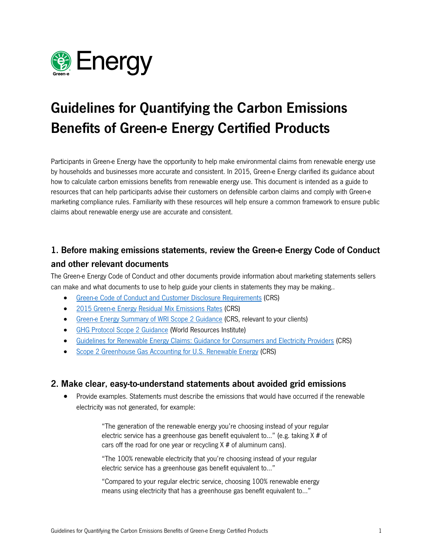

# Guidelines for Quantifying the Carbon Emissions Benefits of Green-e Energy Certified Products

Participants in Green-e Energy have the opportunity to help make environmental claims from renewable energy use by households and businesses more accurate and consistent. In 2015, Green-e Energy clarified its guidance about how to calculate carbon emissions benefits from renewable energy use. This document is intended as a guide to resources that can help participants advise their customers on defensible carbon claims and comply with Green-e marketing compliance rules. Familiarity with these resources will help ensure a common framework to ensure public claims about renewable energy use are accurate and consistent.

## 1. Before making emissions statements, review the Green-e Energy Code of Conduct and other relevant documents

The Green-e Energy Code of Conduct and other documents provide information about marketing statements sellers can make and what documents to use to help guide your clients in statements they may be making..

- Green-e Code of Conduct [and Customer Disclosure Requirements](http://www.green-e.org/getcert_re_stan.shtml%23coccdr) (CRS)
- [2015 Green-e Energy Residual Mix Emissions Rates](http://www.green-e.org/docs/energy/ResidualMix2015.pdf) (CRS)
- [Green-e Energy Summary of WRI Scope 2 Guidance](http://www.green-e.org/docs/energy/Scope2Summary.pdf) (CRS, relevant to your clients)
- [GHG Protocol Scope 2 Guidance](http://www.wri.org/publication/ghg-protocol-scope-2-guidance) (World Resources Institute)
- [Guidelines for Renewable Energy Claims: Guidance for Consumers and Electricity Providers](http://www.resource-solutions.org/pub_pdfs/Guidelines%20for%20Renewable%20Energy%20Claims.pdf) (CRS)
- [Scope 2 Greenhouse Gas Accounting for U.S. Renewable Energy](http://www.resource-solutions.org/pub_pdfs/Scope%202%20Accounting%20For%20U.S.%20RE.pdf) (CRS)

#### 2. Make clear, easy-to-understand statements about avoided grid emissions

• Provide examples. Statements must describe the emissions that would have occurred if the renewable electricity was not generated, for example:

> "The generation of the renewable energy you're choosing instead of your regular electric service has a greenhouse gas benefit equivalent to…" (e.g. taking X # of cars off the road for one year or recycling  $X \#$  of aluminum cans).

"The 100% renewable electricity that you're choosing instead of your regular electric service has a greenhouse gas benefit equivalent to…"

"Compared to your regular electric service, choosing 100% renewable energy means using electricity that has a greenhouse gas benefit equivalent to…"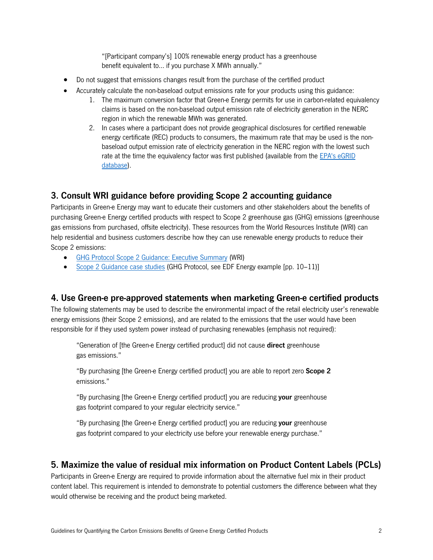"[Participant company's] 100% renewable energy product has a greenhouse benefit equivalent to… if you purchase X MWh annually."

- Do not suggest that emissions changes result from the purchase of the certified product
- Accurately calculate the non-baseload output emissions rate for your products using this guidance:
	- 1. The maximum conversion factor that Green-e Energy permits for use in carbon-related equivalency claims is based on the non-baseload output emission rate of electricity generation in the NERC region in which the renewable MWh was generated.
	- 2. In cases where a participant does not provide geographical disclosures for certified renewable energy certificate (REC) products to consumers, the maximum rate that may be used is the nonbaseload output emission rate of electricity generation in the NERC region with the lowest such rate at the time the equivalency factor was first published (available from the [EPA's eGRID](http://epa.gov/cleanenergy/energy-resources/egrid/)  [database\)](http://epa.gov/cleanenergy/energy-resources/egrid/).

#### 3. Consult WRI guidance before providing Scope 2 accounting guidance

Participants in Green-e Energy may want to educate their customers and other stakeholders about the benefits of purchasing Green-e Energy certified products with respect to Scope 2 greenhouse gas (GHG) emissions (greenhouse gas emissions from purchased, offsite electricity). These resources from the World Resources Institute (WRI) can help residential and business customers describe how they can use renewable energy products to reduce their Scope 2 emissions:

- [GHG Protocol Scope 2 Guidance: Executive Summary](http://ghgprotocol.org/files/ghgp/Scope2_ExecSum_Final.pdf) (WRI)
- [Scope 2 Guidance case studies](http://ghgprotocol.org/files/ghgp/Scope%202%20Guidance%20case%20studies_0.pdf) (GHG Protocol, see EDF Energy example [pp. 10–11)]

#### 4. Use Green-e pre-approved statements when marketing Green-e certified products

The following statements may be used to describe the environmental impact of the retail electricity user's renewable energy emissions (their Scope 2 emissions), and are related to the emissions that the user would have been responsible for if they used system power instead of purchasing renewables (emphasis not required):

"Generation of [the Green-e Energy certified product] did not cause direct greenhouse gas emissions."

"By purchasing [the Green-e Energy certified product] you are able to report zero Scope 2 emissions."

"By purchasing [the Green-e Energy certified product] you are reducing your greenhouse gas footprint compared to your regular electricity service."

"By purchasing [the Green-e Energy certified product] you are reducing your greenhouse gas footprint compared to your electricity use before your renewable energy purchase."

#### 5. Maximize the value of residual mix information on Product Content Labels (PCLs)

Participants in Green-e Energy are required to provide information about the alternative fuel mix in their product content label. This requirement is intended to demonstrate to potential customers the difference between what they would otherwise be receiving and the product being marketed.